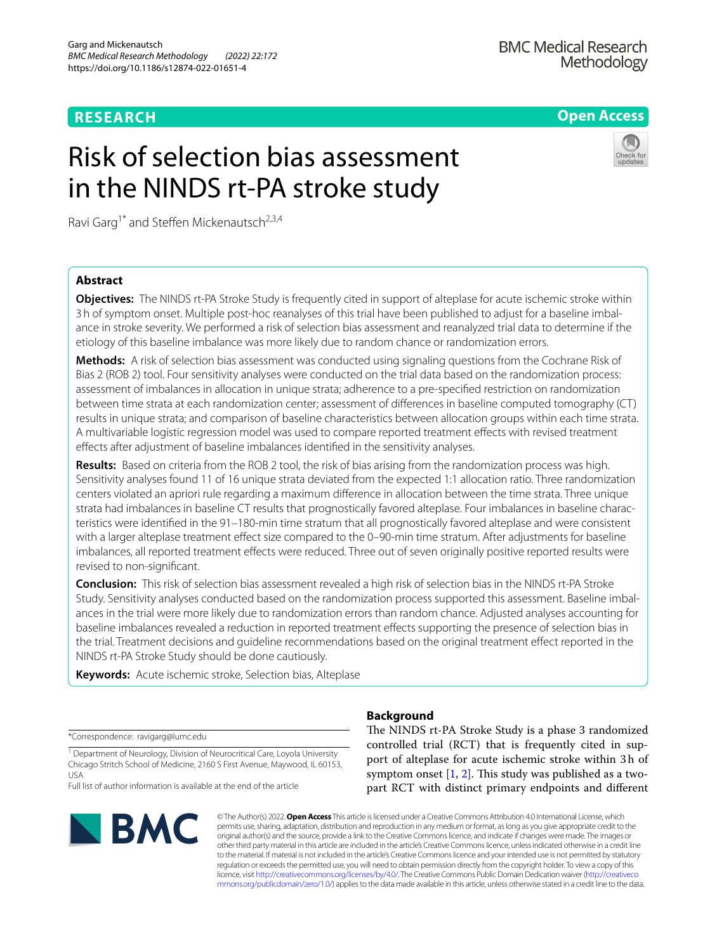## **RESEARCH**

## **Open Access**

# Risk of selection bias assessment in the NINDS rt-PA stroke study



Ravi Garg<sup>1\*</sup> and Steffen Mickenautsch<sup>2,3,4</sup>

### **Abstract**

**Objectives:** The NINDS rt-PA Stroke Study is frequently cited in support of alteplase for acute ischemic stroke within 3h of symptom onset. Multiple post-hoc reanalyses of this trial have been published to adjust for a baseline imbalance in stroke severity. We performed a risk of selection bias assessment and reanalyzed trial data to determine if the etiology of this baseline imbalance was more likely due to random chance or randomization errors.

**Methods:** A risk of selection bias assessment was conducted using signaling questions from the Cochrane Risk of Bias 2 (ROB 2) tool. Four sensitivity analyses were conducted on the trial data based on the randomization process: assessment of imbalances in allocation in unique strata; adherence to a pre-specifed restriction on randomization between time strata at each randomization center; assessment of diferences in baseline computed tomography (CT) results in unique strata; and comparison of baseline characteristics between allocation groups within each time strata. A multivariable logistic regression model was used to compare reported treatment efects with revised treatment efects after adjustment of baseline imbalances identifed in the sensitivity analyses.

**Results:** Based on criteria from the ROB 2 tool, the risk of bias arising from the randomization process was high. Sensitivity analyses found 11 of 16 unique strata deviated from the expected 1:1 allocation ratio. Three randomization centers violated an apriori rule regarding a maximum diference in allocation between the time strata. Three unique strata had imbalances in baseline CT results that prognostically favored alteplase. Four imbalances in baseline characteristics were identifed in the 91–180-min time stratum that all prognostically favored alteplase and were consistent with a larger alteplase treatment effect size compared to the 0-90-min time stratum. After adjustments for baseline imbalances, all reported treatment effects were reduced. Three out of seven originally positive reported results were revised to non-signifcant.

**Conclusion:** This risk of selection bias assessment revealed a high risk of selection bias in the NINDS rt-PA Stroke Study. Sensitivity analyses conducted based on the randomization process supported this assessment. Baseline imbalances in the trial were more likely due to randomization errors than random chance. Adjusted analyses accounting for baseline imbalances revealed a reduction in reported treatment efects supporting the presence of selection bias in the trial. Treatment decisions and guideline recommendations based on the original treatment efect reported in the NINDS rt-PA Stroke Study should be done cautiously.

**Keywords:** Acute ischemic stroke, Selection bias, Alteplase

\*Correspondence: ravigarg@lumc.edu

<sup>1</sup> Department of Neurology, Division of Neurocritical Care, Loyola University Chicago Stritch School of Medicine, 2160 S First Avenue, Maywood, IL 60153, USA

Full list of author information is available at the end of the article



## **Background**

The NINDS rt-PA Stroke Study is a phase 3 randomized controlled trial (RCT) that is frequently cited in support of alteplase for acute ischemic stroke within 3h of symptom onset  $[1, 2]$  $[1, 2]$  $[1, 2]$  $[1, 2]$ . This study was published as a twopart RCT with distinct primary endpoints and diferent

© The Author(s) 2022. **Open Access** This article is licensed under a Creative Commons Attribution 4.0 International License, which permits use, sharing, adaptation, distribution and reproduction in any medium or format, as long as you give appropriate credit to the original author(s) and the source, provide a link to the Creative Commons licence, and indicate if changes were made. The images or other third party material in this article are included in the article's Creative Commons licence, unless indicated otherwise in a credit line to the material. If material is not included in the article's Creative Commons licence and your intended use is not permitted by statutory regulation or exceeds the permitted use, you will need to obtain permission directly from the copyright holder. To view a copy of this licence, visit [http://creativecommons.org/licenses/by/4.0/.](http://creativecommons.org/licenses/by/4.0/) The Creative Commons Public Domain Dedication waiver ([http://creativeco](http://creativecommons.org/publicdomain/zero/1.0/) [mmons.org/publicdomain/zero/1.0/](http://creativecommons.org/publicdomain/zero/1.0/)) applies to the data made available in this article, unless otherwise stated in a credit line to the data.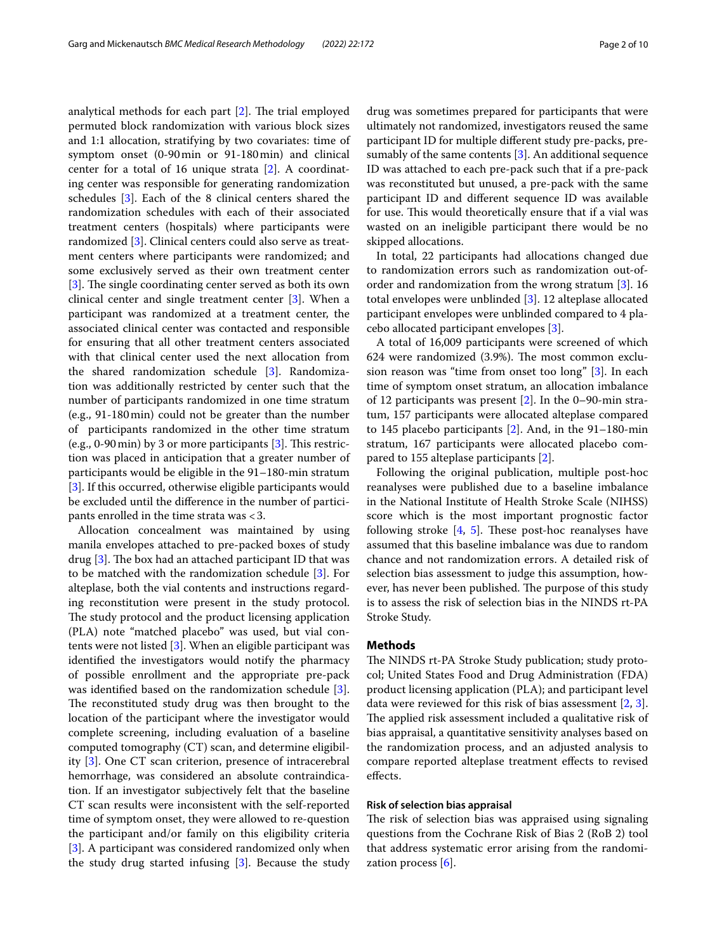analytical methods for each part  $[2]$  $[2]$ . The trial employed permuted block randomization with various block sizes and 1:1 allocation, stratifying by two covariates: time of symptom onset (0-90min or 91-180min) and clinical center for a total of 16 unique strata [\[2](#page-8-1)]. A coordinating center was responsible for generating randomization schedules [[3\]](#page-8-2). Each of the 8 clinical centers shared the randomization schedules with each of their associated treatment centers (hospitals) where participants were randomized [[3\]](#page-8-2). Clinical centers could also serve as treatment centers where participants were randomized; and some exclusively served as their own treatment center [[3\]](#page-8-2). The single coordinating center served as both its own clinical center and single treatment center [[3\]](#page-8-2). When a participant was randomized at a treatment center, the associated clinical center was contacted and responsible for ensuring that all other treatment centers associated with that clinical center used the next allocation from the shared randomization schedule [\[3](#page-8-2)]. Randomization was additionally restricted by center such that the number of participants randomized in one time stratum (e.g., 91-180min) could not be greater than the number of participants randomized in the other time stratum (e.g., 0-90 min) by [3](#page-8-2) or more participants  $[3]$ . This restriction was placed in anticipation that a greater number of participants would be eligible in the 91–180-min stratum [[3\]](#page-8-2). If this occurred, otherwise eligible participants would be excluded until the diference in the number of participants enrolled in the time strata was <3.

Allocation concealment was maintained by using manila envelopes attached to pre-packed boxes of study drug  $[3]$  $[3]$ . The box had an attached participant ID that was to be matched with the randomization schedule [\[3](#page-8-2)]. For alteplase, both the vial contents and instructions regarding reconstitution were present in the study protocol. The study protocol and the product licensing application (PLA) note "matched placebo" was used, but vial contents were not listed [\[3](#page-8-2)]. When an eligible participant was identifed the investigators would notify the pharmacy of possible enrollment and the appropriate pre-pack was identifed based on the randomization schedule [\[3](#page-8-2)]. The reconstituted study drug was then brought to the location of the participant where the investigator would complete screening, including evaluation of a baseline computed tomography (CT) scan, and determine eligibility [[3](#page-8-2)]. One CT scan criterion, presence of intracerebral hemorrhage, was considered an absolute contraindication. If an investigator subjectively felt that the baseline CT scan results were inconsistent with the self-reported time of symptom onset, they were allowed to re-question the participant and/or family on this eligibility criteria [[3\]](#page-8-2). A participant was considered randomized only when the study drug started infusing [\[3](#page-8-2)]. Because the study drug was sometimes prepared for participants that were ultimately not randomized, investigators reused the same participant ID for multiple diferent study pre-packs, presumably of the same contents [\[3](#page-8-2)]. An additional sequence ID was attached to each pre-pack such that if a pre-pack was reconstituted but unused, a pre-pack with the same participant ID and diferent sequence ID was available for use. This would theoretically ensure that if a vial was wasted on an ineligible participant there would be no skipped allocations.

In total, 22 participants had allocations changed due to randomization errors such as randomization out-oforder and randomization from the wrong stratum [[3\]](#page-8-2). 16 total envelopes were unblinded [\[3](#page-8-2)]. 12 alteplase allocated participant envelopes were unblinded compared to 4 placebo allocated participant envelopes [\[3](#page-8-2)].

A total of 16,009 participants were screened of which  $624$  were randomized  $(3.9\%)$ . The most common exclusion reason was "time from onset too long" [\[3\]](#page-8-2). In each time of symptom onset stratum, an allocation imbalance of 12 participants was present [\[2](#page-8-1)]. In the 0–90-min stratum, 157 participants were allocated alteplase compared to 145 placebo participants [\[2](#page-8-1)]. And, in the 91–180-min stratum, 167 participants were allocated placebo compared to 155 alteplase participants [\[2](#page-8-1)].

Following the original publication, multiple post-hoc reanalyses were published due to a baseline imbalance in the National Institute of Health Stroke Scale (NIHSS) score which is the most important prognostic factor following stroke  $[4, 5]$  $[4, 5]$  $[4, 5]$  $[4, 5]$ . These post-hoc reanalyses have assumed that this baseline imbalance was due to random chance and not randomization errors. A detailed risk of selection bias assessment to judge this assumption, however, has never been published. The purpose of this study is to assess the risk of selection bias in the NINDS rt-PA Stroke Study.

#### **Methods**

The NINDS rt-PA Stroke Study publication; study protocol; United States Food and Drug Administration (FDA) product licensing application (PLA); and participant level data were reviewed for this risk of bias assessment [\[2](#page-8-1), [3](#page-8-2)]. The applied risk assessment included a qualitative risk of bias appraisal, a quantitative sensitivity analyses based on the randomization process, and an adjusted analysis to compare reported alteplase treatment efects to revised efects.

#### **Risk of selection bias appraisal**

The risk of selection bias was appraised using signaling questions from the Cochrane Risk of Bias 2 (RoB 2) tool that address systematic error arising from the randomization process [[6\]](#page-8-5).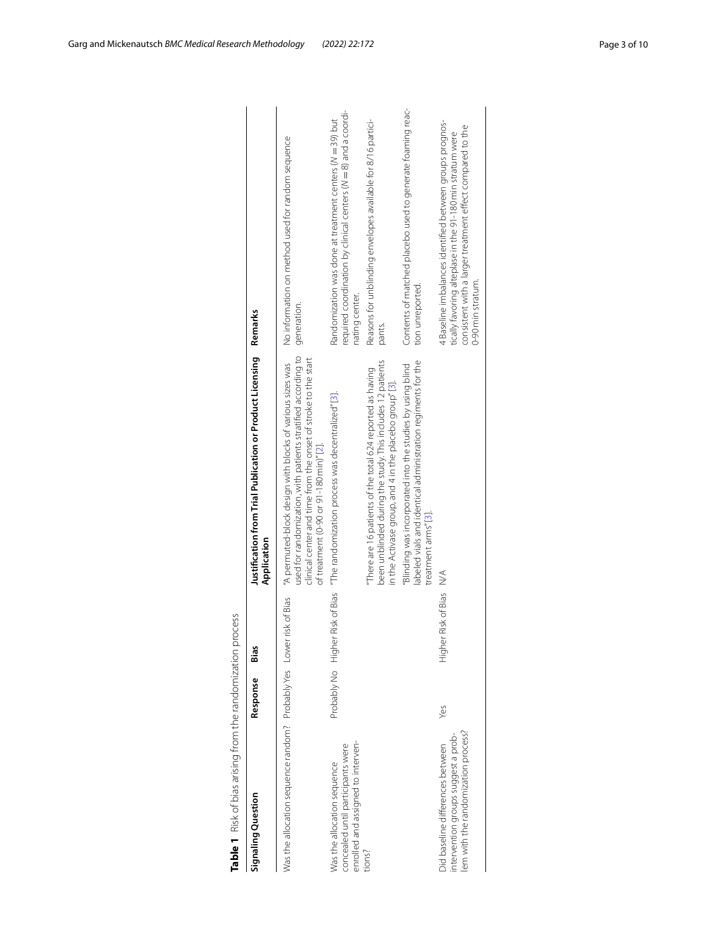<span id="page-2-0"></span>

|   | Ì<br>Ï<br>I<br>I<br>ļ                                                                           | J<br>١<br>֠<br>l<br>l                |
|---|-------------------------------------------------------------------------------------------------|--------------------------------------|
|   | $\overline{\phantom{a}}$<br>I<br>I<br>.<br>"<br>ļ<br>֧֢ׅ֧֦֧֢ׅ֧֦֧֦֧֧֦֧֦֧֦֧֚֚֚֚֚֚֚֚֚֚֚֚֚֚֚֚֝֡֡֘֝֬ | ֠<br>í<br>١                          |
| š | ï<br>I                                                                                          | J<br>١                               |
|   | i<br>ļ<br>i<br>l<br>$\mathbf{r}$<br>I<br>I<br>١                                                 | j<br>١<br>J<br>١<br>5<br>١<br>١<br>١ |
|   |                                                                                                 | I                                    |
|   |                                                                                                 |                                      |

| Table 1 Risk of bias arising from the randomization                                                            |                  | process                     |                                                                                                                                                                                                                                         |                                                                                                                                                                                                         |
|----------------------------------------------------------------------------------------------------------------|------------------|-----------------------------|-----------------------------------------------------------------------------------------------------------------------------------------------------------------------------------------------------------------------------------------|---------------------------------------------------------------------------------------------------------------------------------------------------------------------------------------------------------|
| Signaling Question                                                                                             | Response         | Bias                        | Justification from Trial Publication or Product Licensing<br>Application                                                                                                                                                                | Remarks                                                                                                                                                                                                 |
| Was the allocation sequence random? Probably Yes Lower risk of Bias                                            |                  |                             | used for randomization, with patients stratified according to<br>clinical center and time from the onset of stroke to the start<br>"A permuted-block design with blocks of various sizes was<br>of treatment (0-90 or 91-180 min)" [2]. | No information on method used for random sequence<br>generation.                                                                                                                                        |
| enrolled and assigned to interven-<br>concealed until participants were<br>Was the allocation sequence         | Probably No High |                             | ner Risk of Bias "The randomization process was decentralized" [3].                                                                                                                                                                     | required coordination by clinical centers (N = 8) and a coordi-<br>Randomization was done at treatment centers (N = 39) but<br>nating center.                                                           |
| tions?                                                                                                         |                  |                             | been unblinded during the study. This includes 12 patients<br>"There are 16 patients of the total 624 reported as having<br>in the Activase group, and 4 in the placebo group" [3].                                                     | Reasons for unblinding envelopes available for 8/16 partici-<br>pants.                                                                                                                                  |
|                                                                                                                |                  |                             | labeled vials and identical administration regiments for the<br>"Blinding was incorporated into the studies by using blind<br>treatment arms" [3].                                                                                      | Contents of matched placebo used to generate foaming reac-<br>tion unreported.                                                                                                                          |
| lem with the randomization process?<br>intervention groups suggest a prob-<br>Did baseline differences between | Yes              | ner Risk of Bias<br>.<br>도구 | $\leq$                                                                                                                                                                                                                                  | 4 Baseline imbalances identified between groups prognos-<br>consistent with a larger treatment effect compared to the<br>tically favoring alteplase in the 91-180 min stratum were<br>0-90 min stratum. |
|                                                                                                                |                  |                             |                                                                                                                                                                                                                                         |                                                                                                                                                                                                         |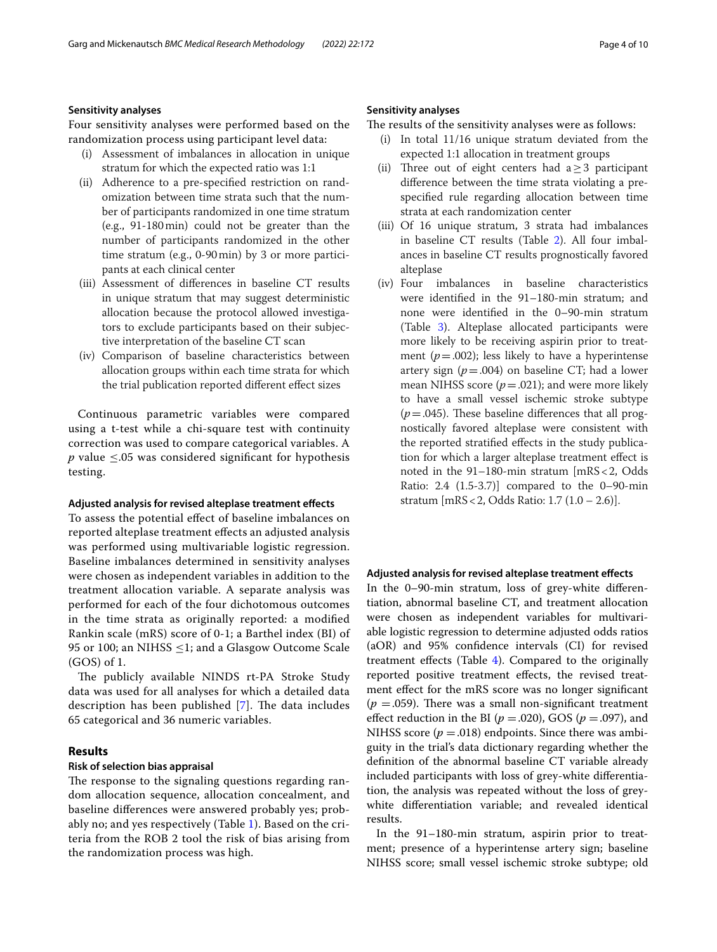#### **Sensitivity analyses**

Four sensitivity analyses were performed based on the randomization process using participant level data:

- (i) Assessment of imbalances in allocation in unique stratum for which the expected ratio was 1:1
- (ii) Adherence to a pre-specifed restriction on randomization between time strata such that the number of participants randomized in one time stratum (e.g., 91-180min) could not be greater than the number of participants randomized in the other time stratum (e.g., 0-90min) by 3 or more participants at each clinical center
- (iii) Assessment of diferences in baseline CT results in unique stratum that may suggest deterministic allocation because the protocol allowed investigators to exclude participants based on their subjective interpretation of the baseline CT scan
- (iv) Comparison of baseline characteristics between allocation groups within each time strata for which the trial publication reported diferent efect sizes

Continuous parametric variables were compared using a t-test while a chi-square test with continuity correction was used to compare categorical variables. A *p* value  $\leq$ .05 was considered significant for hypothesis testing.

#### **Adjusted analysis for revised alteplase treatment efects**

To assess the potential efect of baseline imbalances on reported alteplase treatment efects an adjusted analysis was performed using multivariable logistic regression. Baseline imbalances determined in sensitivity analyses were chosen as independent variables in addition to the treatment allocation variable. A separate analysis was performed for each of the four dichotomous outcomes in the time strata as originally reported: a modifed Rankin scale (mRS) score of 0-1; a Barthel index (BI) of 95 or 100; an NIHSS  $\leq$ 1; and a Glasgow Outcome Scale (GOS) of 1.

The publicly available NINDS rt-PA Stroke Study data was used for all analyses for which a detailed data description has been published  $[7]$  $[7]$ . The data includes 65 categorical and 36 numeric variables.

#### **Results**

#### **Risk of selection bias appraisal**

The response to the signaling questions regarding random allocation sequence, allocation concealment, and baseline diferences were answered probably yes; probably no; and yes respectively (Table [1](#page-2-0)). Based on the criteria from the ROB 2 tool the risk of bias arising from the randomization process was high.

#### **Sensitivity analyses**

The results of the sensitivity analyses were as follows:

- (i) In total 11/16 unique stratum deviated from the expected 1:1 allocation in treatment groups
- (ii) Three out of eight centers had  $a > 3$  participant diference between the time strata violating a prespecifed rule regarding allocation between time strata at each randomization center
- (iii) Of 16 unique stratum, 3 strata had imbalances in baseline CT results (Table [2](#page-4-0)). All four imbalances in baseline CT results prognostically favored alteplase
- (iv) Four imbalances in baseline characteristics were identifed in the 91–180-min stratum; and none were identifed in the 0–90-min stratum (Table [3\)](#page-4-1). Alteplase allocated participants were more likely to be receiving aspirin prior to treatment ( $p = .002$ ); less likely to have a hyperintense artery sign  $(p=.004)$  on baseline CT; had a lower mean NIHSS score  $(p=.021)$ ; and were more likely to have a small vessel ischemic stroke subtype  $(p=.045)$ . These baseline differences that all prognostically favored alteplase were consistent with the reported stratifed efects in the study publication for which a larger alteplase treatment efect is noted in the 91–180-min stratum [mRS<2, Odds Ratio: 2.4 (1.5-3.7)] compared to the 0–90-min stratum [mRS<2, Odds Ratio: 1.7 (1.0 – 2.6)].

#### **Adjusted analysis for revised alteplase treatment efects**

In the 0–90-min stratum, loss of grey-white diferentiation, abnormal baseline CT, and treatment allocation were chosen as independent variables for multivariable logistic regression to determine adjusted odds ratios (aOR) and 95% confdence intervals (CI) for revised treatment efects (Table [4\)](#page-4-2). Compared to the originally reported positive treatment efects, the revised treatment efect for the mRS score was no longer signifcant  $(p = .059)$ . There was a small non-significant treatment effect reduction in the BI ( $p = .020$ ), GOS ( $p = .097$ ), and NIHSS score  $(p = .018)$  endpoints. Since there was ambiguity in the trial's data dictionary regarding whether the defnition of the abnormal baseline CT variable already included participants with loss of grey-white diferentiation, the analysis was repeated without the loss of greywhite diferentiation variable; and revealed identical results.

In the 91–180-min stratum, aspirin prior to treatment; presence of a hyperintense artery sign; baseline NIHSS score; small vessel ischemic stroke subtype; old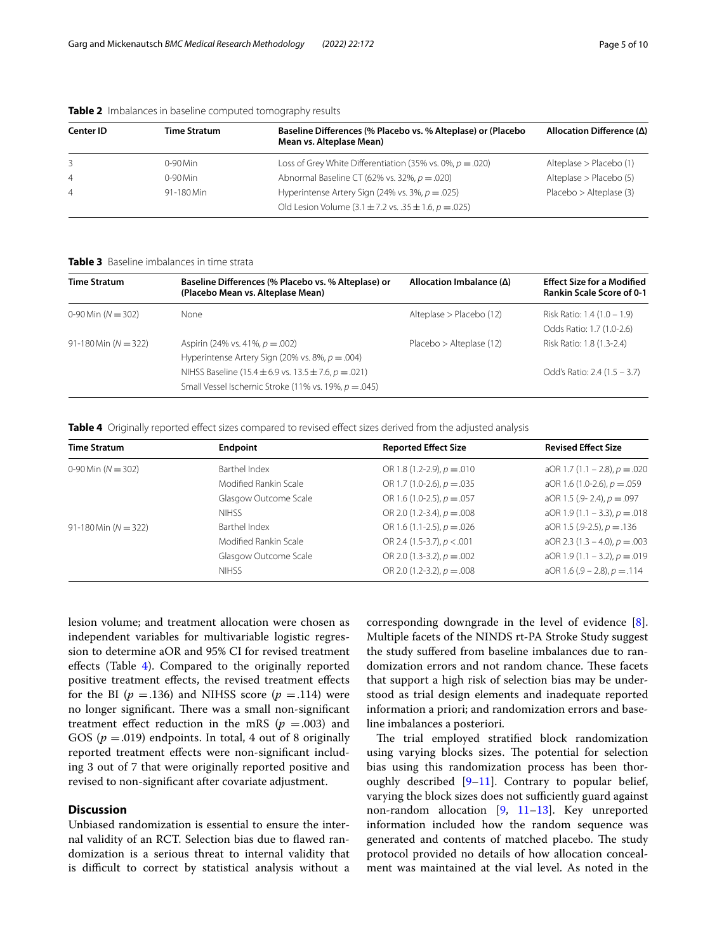| Center ID      | <b>Time Stratum</b> | Baseline Differences (% Placebo vs. % Alteplase) or (Placebo<br>Mean vs. Alteplase Mean)                             | Allocation Difference ( $\Delta$ ) |
|----------------|---------------------|----------------------------------------------------------------------------------------------------------------------|------------------------------------|
| 3              | $0-90$ Min          | Loss of Grey White Differentiation (35% vs. 0%, $p = .020$ )                                                         | Alteplase > Placebo (1)            |
| $\overline{4}$ | $0-90$ Min          | Abnormal Baseline CT (62% vs. 32%, $p = .020$ )                                                                      | Alteplase > Placebo (5)            |
| $\overline{4}$ | 91-180 Min          | Hyperintense Artery Sign (24% vs. 3%, $p = 0.025$ )<br>Old Lesion Volume (3.1 $\pm$ 7.2 vs. .35 $\pm$ 1.6, p = .025) | Placebo > Alteplase (3)            |

#### <span id="page-4-0"></span>**Table 2** Imbalances in baseline computed tomography results

<span id="page-4-1"></span>**Table 3** Baseline imbalances in time strata

| <b>Time Stratum</b>    | Baseline Differences (% Placebo vs. % Alteplase) or<br>(Placebo Mean vs. Alteplase Mean)                           | Allocation Imbalance $(\Delta)$ | <b>Effect Size for a Modified</b><br><b>Rankin Scale Score of 0-1</b> |
|------------------------|--------------------------------------------------------------------------------------------------------------------|---------------------------------|-----------------------------------------------------------------------|
| 0-90 Min $(N = 302)$   | None                                                                                                               | Alteplase > Placebo (12)        | Risk Ratio: 1.4 (1.0 – 1.9)<br>Odds Ratio: 1.7 (1.0-2.6)              |
| 91-180 Min $(N = 322)$ | Aspirin (24% vs. 41%, $p = .002$ )<br>Hyperintense Artery Sign (20% vs. 8%, $p = .004$ )                           | Placebo > Alteplase (12)        | Risk Ratio: 1.8 (1.3-2.4)                                             |
|                        | NIHSS Baseline (15.4 ± 6.9 vs. 13.5 ± 7.6, $p = .021$ )<br>Small Vessel Ischemic Stroke (11% vs. 19%, $p = .045$ ) |                                 | Odd's Ratio: 2.4 $(1.5 - 3.7)$                                        |

<span id="page-4-2"></span>Table 4 Originally reported effect sizes compared to revised effect sizes derived from the adjusted analysis

| <b>Time Stratum</b>    | Endpoint              | <b>Reported Effect Size</b>     | <b>Revised Effect Size</b>         |
|------------------------|-----------------------|---------------------------------|------------------------------------|
| 0-90 Min $(N = 302)$   | Barthel Index         | OR 1.8 (1.2-2.9), $p = 0.010$   | aOR 1.7 (1.1 – 2.8), $p = .020$    |
|                        | Modified Rankin Scale | OR 1.7 (1.0-2.6), $p = .035$    | aOR 1.6 (1.0-2.6), $p = .059$      |
|                        | Glasgow Outcome Scale | OR 1.6 (1.0-2.5), $p = .057$    | aOR 1.5 (.9 - 2.4), $p = .097$     |
|                        | <b>NIHSS</b>          | OR 2.0 (1.2-3.4), $p = .008$    | aOR 1.9 (1.1 - 3.3), $p = .018$    |
| 91-180 Min $(N = 322)$ | Barthel Index         | OR 1.6 (1.1-2.5), $p = 0.026$   | aOR 1.5 (.9-2.5), $p = 136$        |
|                        | Modified Rankin Scale | OR 2.4 (1.5-3.7), $p < .001$    | aOR 2.3 $(1.3 - 4.0)$ , $p = .003$ |
|                        | Glasgow Outcome Scale | OR 2.0 $(1.3-3.2)$ , $p=.002$   | aOR 1.9 (1.1 - 3.2), $p = .019$    |
|                        | <b>NIHSS</b>          | OR 2.0 $(1.2-3.2)$ , $p = .008$ | aOR 1.6 (.9 – 2.8), $p = .114$     |

lesion volume; and treatment allocation were chosen as independent variables for multivariable logistic regression to determine aOR and 95% CI for revised treatment efects (Table [4\)](#page-4-2). Compared to the originally reported positive treatment efects, the revised treatment efects for the BI  $(p = .136)$  and NIHSS score  $(p = .114)$  were no longer significant. There was a small non-significant treatment effect reduction in the mRS ( $p = .003$ ) and GOS ( $p = .019$ ) endpoints. In total, 4 out of 8 originally reported treatment efects were non-signifcant including 3 out of 7 that were originally reported positive and revised to non-signifcant after covariate adjustment.

#### **Discussion**

Unbiased randomization is essential to ensure the internal validity of an RCT. Selection bias due to fawed randomization is a serious threat to internal validity that is difficult to correct by statistical analysis without a corresponding downgrade in the level of evidence [\[8](#page-8-7)]. Multiple facets of the NINDS rt-PA Stroke Study suggest the study sufered from baseline imbalances due to randomization errors and not random chance. These facets that support a high risk of selection bias may be understood as trial design elements and inadequate reported information a priori; and randomization errors and baseline imbalances a posteriori.

The trial employed stratified block randomization using varying blocks sizes. The potential for selection bias using this randomization process has been thoroughly described [\[9–](#page-8-8)[11\]](#page-8-9). Contrary to popular belief, varying the block sizes does not sufficiently guard against non-random allocation [\[9](#page-8-8), [11](#page-8-9)–[13\]](#page-8-10). Key unreported information included how the random sequence was generated and contents of matched placebo. The study protocol provided no details of how allocation concealment was maintained at the vial level. As noted in the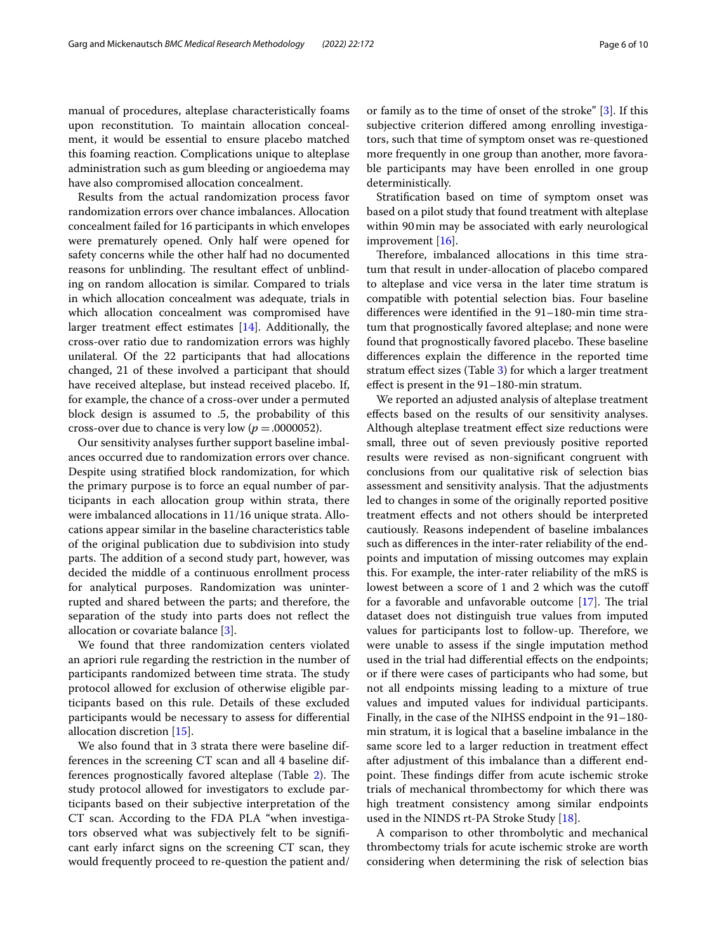manual of procedures, alteplase characteristically foams upon reconstitution. To maintain allocation concealment, it would be essential to ensure placebo matched this foaming reaction. Complications unique to alteplase administration such as gum bleeding or angioedema may have also compromised allocation concealment.

Results from the actual randomization process favor randomization errors over chance imbalances. Allocation concealment failed for 16 participants in which envelopes were prematurely opened. Only half were opened for safety concerns while the other half had no documented reasons for unblinding. The resultant effect of unblinding on random allocation is similar. Compared to trials in which allocation concealment was adequate, trials in which allocation concealment was compromised have larger treatment efect estimates [[14](#page-8-11)]. Additionally, the cross-over ratio due to randomization errors was highly unilateral. Of the 22 participants that had allocations changed, 21 of these involved a participant that should have received alteplase, but instead received placebo. If, for example, the chance of a cross-over under a permuted block design is assumed to .5, the probability of this cross-over due to chance is very low  $(p = .0000052)$ .

Our sensitivity analyses further support baseline imbalances occurred due to randomization errors over chance. Despite using stratifed block randomization, for which the primary purpose is to force an equal number of participants in each allocation group within strata, there were imbalanced allocations in 11/16 unique strata. Allocations appear similar in the baseline characteristics table of the original publication due to subdivision into study parts. The addition of a second study part, however, was decided the middle of a continuous enrollment process for analytical purposes. Randomization was uninterrupted and shared between the parts; and therefore, the separation of the study into parts does not refect the allocation or covariate balance [\[3](#page-8-2)].

We found that three randomization centers violated an apriori rule regarding the restriction in the number of participants randomized between time strata. The study protocol allowed for exclusion of otherwise eligible participants based on this rule. Details of these excluded participants would be necessary to assess for diferential allocation discretion [[15\]](#page-8-12).

We also found that in 3 strata there were baseline differences in the screening CT scan and all 4 baseline dif-ferences prognostically favored alteplase (Table [2\)](#page-4-0). The study protocol allowed for investigators to exclude participants based on their subjective interpretation of the CT scan. According to the FDA PLA "when investigators observed what was subjectively felt to be signifcant early infarct signs on the screening CT scan, they would frequently proceed to re-question the patient and/ or family as to the time of onset of the stroke" [\[3](#page-8-2)]. If this subjective criterion difered among enrolling investigators, such that time of symptom onset was re-questioned more frequently in one group than another, more favorable participants may have been enrolled in one group deterministically.

Stratifcation based on time of symptom onset was based on a pilot study that found treatment with alteplase within 90min may be associated with early neurological improvement [\[16](#page-8-13)].

Therefore, imbalanced allocations in this time stratum that result in under-allocation of placebo compared to alteplase and vice versa in the later time stratum is compatible with potential selection bias. Four baseline diferences were identifed in the 91–180-min time stratum that prognostically favored alteplase; and none were found that prognostically favored placebo. These baseline diferences explain the diference in the reported time stratum efect sizes (Table [3](#page-4-1)) for which a larger treatment efect is present in the 91–180-min stratum.

We reported an adjusted analysis of alteplase treatment efects based on the results of our sensitivity analyses. Although alteplase treatment efect size reductions were small, three out of seven previously positive reported results were revised as non-signifcant congruent with conclusions from our qualitative risk of selection bias assessment and sensitivity analysis. That the adjustments led to changes in some of the originally reported positive treatment efects and not others should be interpreted cautiously. Reasons independent of baseline imbalances such as diferences in the inter-rater reliability of the endpoints and imputation of missing outcomes may explain this. For example, the inter-rater reliability of the mRS is lowest between a score of 1 and 2 which was the cutof for a favorable and unfavorable outcome  $[17]$  $[17]$  $[17]$ . The trial dataset does not distinguish true values from imputed values for participants lost to follow-up. Therefore, we were unable to assess if the single imputation method used in the trial had diferential efects on the endpoints; or if there were cases of participants who had some, but not all endpoints missing leading to a mixture of true values and imputed values for individual participants. Finally, in the case of the NIHSS endpoint in the 91–180 min stratum, it is logical that a baseline imbalance in the same score led to a larger reduction in treatment efect after adjustment of this imbalance than a diferent endpoint. These findings differ from acute ischemic stroke trials of mechanical thrombectomy for which there was high treatment consistency among similar endpoints used in the NINDS rt-PA Stroke Study [[18\]](#page-8-15).

A comparison to other thrombolytic and mechanical thrombectomy trials for acute ischemic stroke are worth considering when determining the risk of selection bias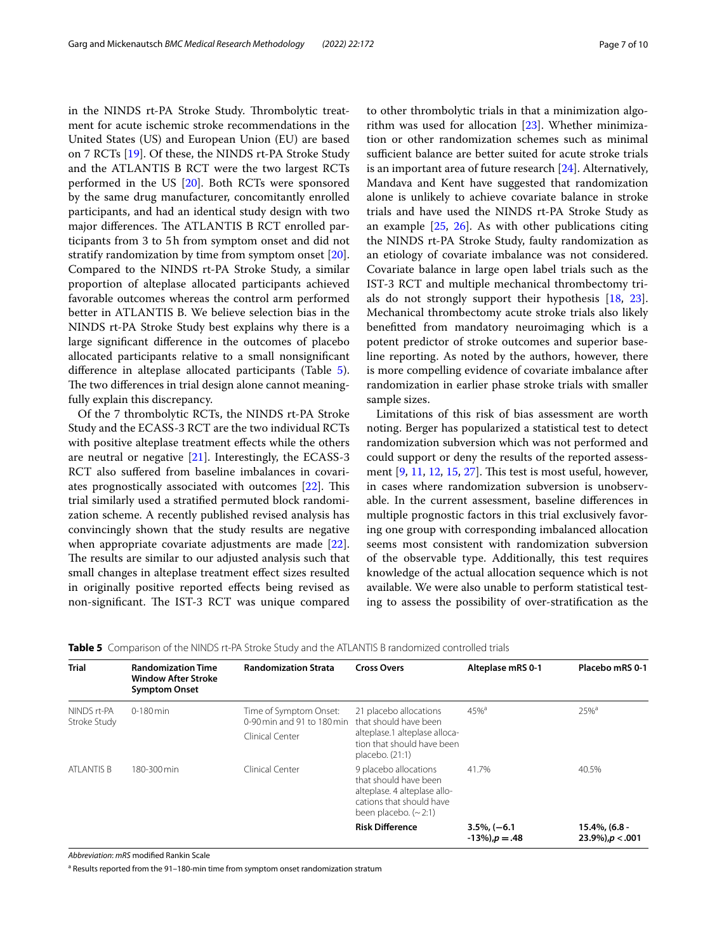in the NINDS rt-PA Stroke Study. Thrombolytic treatment for acute ischemic stroke recommendations in the United States (US) and European Union (EU) are based on 7 RCTs [\[19\]](#page-8-16). Of these, the NINDS rt-PA Stroke Study and the ATLANTIS B RCT were the two largest RCTs performed in the US [[20\]](#page-8-17). Both RCTs were sponsored by the same drug manufacturer, concomitantly enrolled participants, and had an identical study design with two major differences. The ATLANTIS B RCT enrolled participants from 3 to 5h from symptom onset and did not stratify randomization by time from symptom onset [\[20](#page-8-17)]. Compared to the NINDS rt-PA Stroke Study, a similar proportion of alteplase allocated participants achieved favorable outcomes whereas the control arm performed better in ATLANTIS B. We believe selection bias in the NINDS rt-PA Stroke Study best explains why there is a large signifcant diference in the outcomes of placebo allocated participants relative to a small nonsignifcant diference in alteplase allocated participants (Table [5](#page-6-0)). The two differences in trial design alone cannot meaningfully explain this discrepancy.

Of the 7 thrombolytic RCTs, the NINDS rt-PA Stroke Study and the ECASS-3 RCT are the two individual RCTs with positive alteplase treatment effects while the others are neutral or negative [\[21](#page-8-18)]. Interestingly, the ECASS-3 RCT also sufered from baseline imbalances in covari-ates prognostically associated with outcomes [[22\]](#page-8-19). This trial similarly used a stratifed permuted block randomization scheme. A recently published revised analysis has convincingly shown that the study results are negative when appropriate covariate adjustments are made [\[22](#page-8-19)]. The results are similar to our adjusted analysis such that small changes in alteplase treatment efect sizes resulted in originally positive reported efects being revised as non-significant. The IST-3 RCT was unique compared to other thrombolytic trials in that a minimization algorithm was used for allocation [[23](#page-8-20)]. Whether minimization or other randomization schemes such as minimal sufficient balance are better suited for acute stroke trials is an important area of future research [[24](#page-8-21)]. Alternatively, Mandava and Kent have suggested that randomization alone is unlikely to achieve covariate balance in stroke trials and have used the NINDS rt-PA Stroke Study as an example [[25](#page-8-22), [26\]](#page-8-23). As with other publications citing the NINDS rt-PA Stroke Study, faulty randomization as an etiology of covariate imbalance was not considered. Covariate balance in large open label trials such as the IST-3 RCT and multiple mechanical thrombectomy trials do not strongly support their hypothesis [\[18](#page-8-15), [23](#page-8-20)]. Mechanical thrombectomy acute stroke trials also likely beneftted from mandatory neuroimaging which is a potent predictor of stroke outcomes and superior baseline reporting. As noted by the authors, however, there is more compelling evidence of covariate imbalance after randomization in earlier phase stroke trials with smaller sample sizes.

Limitations of this risk of bias assessment are worth noting. Berger has popularized a statistical test to detect randomization subversion which was not performed and could support or deny the results of the reported assessment  $[9, 11, 12, 15, 27]$  $[9, 11, 12, 15, 27]$  $[9, 11, 12, 15, 27]$  $[9, 11, 12, 15, 27]$  $[9, 11, 12, 15, 27]$  $[9, 11, 12, 15, 27]$  $[9, 11, 12, 15, 27]$  $[9, 11, 12, 15, 27]$  $[9, 11, 12, 15, 27]$  $[9, 11, 12, 15, 27]$ . This test is most useful, however, in cases where randomization subversion is unobservable. In the current assessment, baseline diferences in multiple prognostic factors in this trial exclusively favoring one group with corresponding imbalanced allocation seems most consistent with randomization subversion of the observable type. Additionally, this test requires knowledge of the actual allocation sequence which is not available. We were also unable to perform statistical testing to assess the possibility of over-stratifcation as the

<span id="page-6-0"></span>

|  |  |  | <b>Table 5</b> Comparison of the NINDS rt-PA Stroke Study and the ATLANTIS B randomized controlled trials |  |
|--|--|--|-----------------------------------------------------------------------------------------------------------|--|
|--|--|--|-----------------------------------------------------------------------------------------------------------|--|

| <b>Trial</b>                | <b>Randomization Time</b><br><b>Window After Stroke</b><br><b>Symptom Onset</b> | <b>Randomization Strata</b>                          | <b>Cross Overs</b>                                                                                                                       | Alteplase mRS 0-1                       | Placebo mRS 0-1                            |
|-----------------------------|---------------------------------------------------------------------------------|------------------------------------------------------|------------------------------------------------------------------------------------------------------------------------------------------|-----------------------------------------|--------------------------------------------|
| NINDS rt-PA<br>Stroke Study | $0-180$ min                                                                     | Time of Symptom Onset:<br>0-90 min and 91 to 180 min | 21 placebo allocations<br>that should have been<br>alteplase.1 alteplase alloca-<br>tion that should have been<br>placebo. (21:1)        | $45%^{a}$                               | $25%^{a}$                                  |
|                             |                                                                                 | Clinical Center                                      |                                                                                                                                          |                                         |                                            |
| ATLANTIS B                  | 180-300 min                                                                     | Clinical Center                                      | 9 placebo allocations<br>that should have been<br>alteplase. 4 alteplase allo-<br>cations that should have<br>been placebo. $(\sim 2:1)$ | 41.7%                                   | 40.5%                                      |
|                             |                                                                                 |                                                      | <b>Risk Difference</b>                                                                                                                   | $3.5\%$ , (-6.1)<br>$-13\%$ , $p = .48$ | $15.4\%$ , (6.8 -<br>$23.9\%$ , $p < .001$ |

*Abbreviation*: *mRS* modifed Rankin Scale

<sup>a</sup> Results reported from the 91–180-min time from symptom onset randomization stratum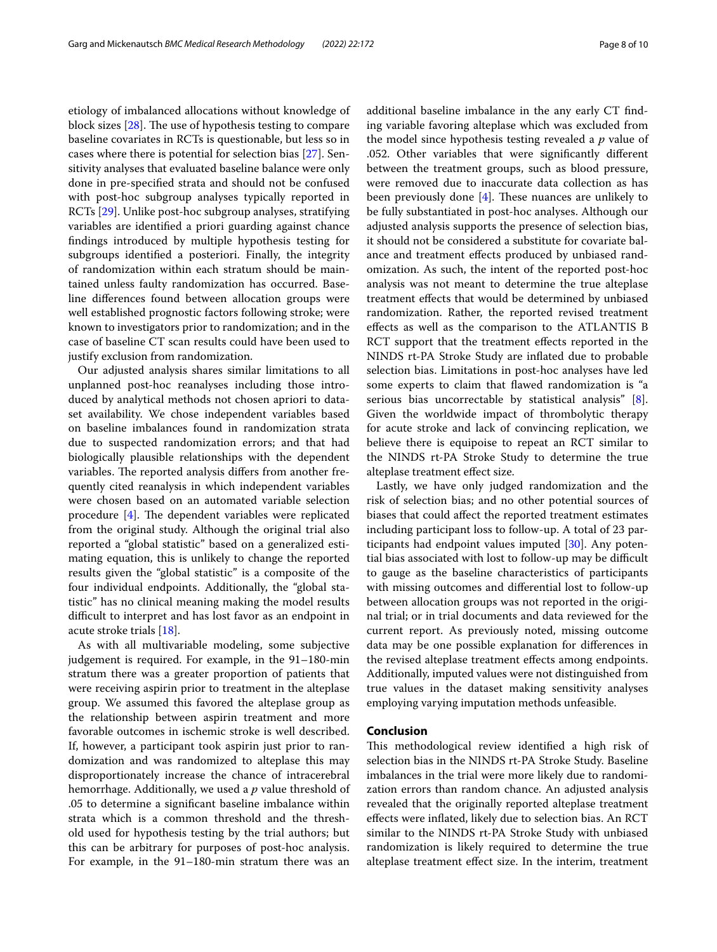etiology of imbalanced allocations without knowledge of block sizes  $[28]$ . The use of hypothesis testing to compare baseline covariates in RCTs is questionable, but less so in cases where there is potential for selection bias [\[27](#page-8-25)]. Sensitivity analyses that evaluated baseline balance were only done in pre-specifed strata and should not be confused with post-hoc subgroup analyses typically reported in RCTs [[29](#page-8-27)]. Unlike post-hoc subgroup analyses, stratifying variables are identifed a priori guarding against chance fndings introduced by multiple hypothesis testing for subgroups identifed a posteriori. Finally, the integrity of randomization within each stratum should be maintained unless faulty randomization has occurred. Baseline diferences found between allocation groups were well established prognostic factors following stroke; were known to investigators prior to randomization; and in the case of baseline CT scan results could have been used to justify exclusion from randomization.

Our adjusted analysis shares similar limitations to all unplanned post-hoc reanalyses including those introduced by analytical methods not chosen apriori to dataset availability. We chose independent variables based on baseline imbalances found in randomization strata due to suspected randomization errors; and that had biologically plausible relationships with the dependent variables. The reported analysis differs from another frequently cited reanalysis in which independent variables were chosen based on an automated variable selection procedure  $[4]$  $[4]$ . The dependent variables were replicated from the original study. Although the original trial also reported a "global statistic" based on a generalized estimating equation, this is unlikely to change the reported results given the "global statistic" is a composite of the four individual endpoints. Additionally, the "global statistic" has no clinical meaning making the model results difficult to interpret and has lost favor as an endpoint in acute stroke trials [[18](#page-8-15)].

As with all multivariable modeling, some subjective judgement is required. For example, in the 91–180-min stratum there was a greater proportion of patients that were receiving aspirin prior to treatment in the alteplase group. We assumed this favored the alteplase group as the relationship between aspirin treatment and more favorable outcomes in ischemic stroke is well described. If, however, a participant took aspirin just prior to randomization and was randomized to alteplase this may disproportionately increase the chance of intracerebral hemorrhage. Additionally, we used a *p* value threshold of .05 to determine a signifcant baseline imbalance within strata which is a common threshold and the threshold used for hypothesis testing by the trial authors; but this can be arbitrary for purposes of post-hoc analysis. For example, in the 91–180-min stratum there was an additional baseline imbalance in the any early CT fnding variable favoring alteplase which was excluded from the model since hypothesis testing revealed a *p* value of .052. Other variables that were signifcantly diferent between the treatment groups, such as blood pressure, were removed due to inaccurate data collection as has been previously done  $[4]$  $[4]$ . These nuances are unlikely to be fully substantiated in post-hoc analyses. Although our adjusted analysis supports the presence of selection bias, it should not be considered a substitute for covariate balance and treatment efects produced by unbiased randomization. As such, the intent of the reported post-hoc analysis was not meant to determine the true alteplase treatment efects that would be determined by unbiased randomization. Rather, the reported revised treatment efects as well as the comparison to the ATLANTIS B RCT support that the treatment efects reported in the NINDS rt-PA Stroke Study are infated due to probable selection bias. Limitations in post-hoc analyses have led some experts to claim that fawed randomization is "a serious bias uncorrectable by statistical analysis" [\[8](#page-8-7)]. Given the worldwide impact of thrombolytic therapy for acute stroke and lack of convincing replication, we believe there is equipoise to repeat an RCT similar to the NINDS rt-PA Stroke Study to determine the true alteplase treatment efect size.

Lastly, we have only judged randomization and the risk of selection bias; and no other potential sources of biases that could afect the reported treatment estimates including participant loss to follow-up. A total of 23 participants had endpoint values imputed [\[30](#page-9-0)]. Any potential bias associated with lost to follow-up may be difficult to gauge as the baseline characteristics of participants with missing outcomes and diferential lost to follow-up between allocation groups was not reported in the original trial; or in trial documents and data reviewed for the current report. As previously noted, missing outcome data may be one possible explanation for diferences in the revised alteplase treatment efects among endpoints. Additionally, imputed values were not distinguished from true values in the dataset making sensitivity analyses employing varying imputation methods unfeasible.

#### **Conclusion**

This methodological review identified a high risk of selection bias in the NINDS rt-PA Stroke Study. Baseline imbalances in the trial were more likely due to randomization errors than random chance. An adjusted analysis revealed that the originally reported alteplase treatment efects were infated, likely due to selection bias. An RCT similar to the NINDS rt-PA Stroke Study with unbiased randomization is likely required to determine the true alteplase treatment efect size. In the interim, treatment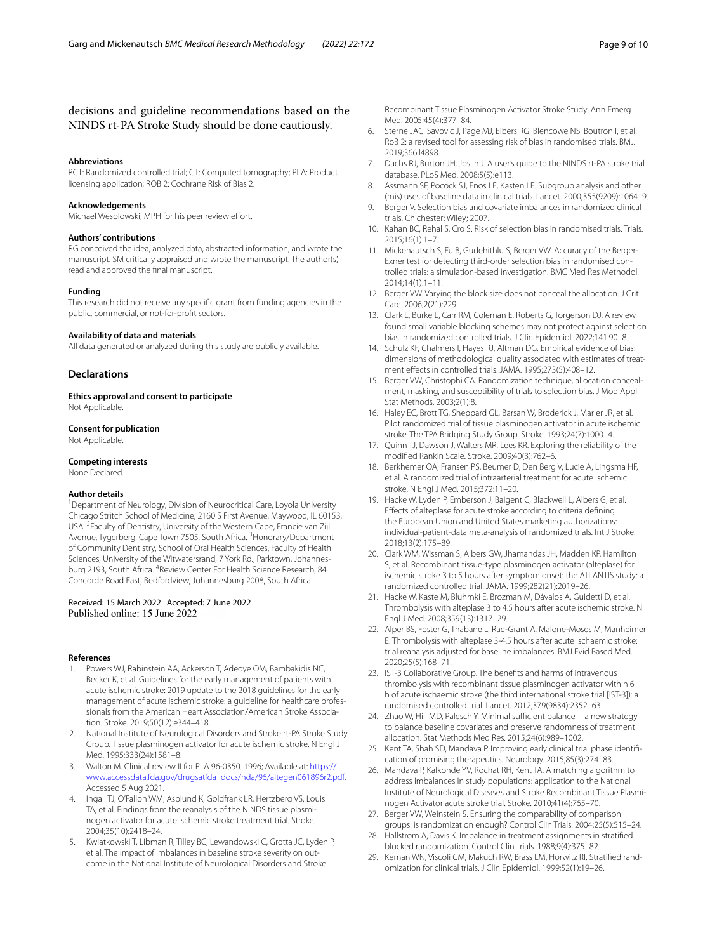### decisions and guideline recommendations based on the NINDS rt-PA Stroke Study should be done cautiously.

#### **Abbreviations**

RCT: Randomized controlled trial; CT: Computed tomography; PLA: Product licensing application; ROB 2: Cochrane Risk of Bias 2.

#### **Acknowledgements**

Michael Wesolowski, MPH for his peer review effort.

#### **Authors' contributions**

RG conceived the idea, analyzed data, abstracted information, and wrote the manuscript. SM critically appraised and wrote the manuscript. The author(s) read and approved the fnal manuscript.

#### **Funding**

This research did not receive any specifc grant from funding agencies in the public, commercial, or not-for-proft sectors.

#### **Availability of data and materials**

All data generated or analyzed during this study are publicly available.

#### **Declarations**

**Ethics approval and consent to participate** Not Applicable.

#### **Consent for publication**

Not Applicable.

#### **Competing interests**

None Declared.

#### **Author details**

<sup>1</sup> Department of Neurology, Division of Neurocritical Care, Loyola University Chicago Stritch School of Medicine, 2160 S First Avenue, Maywood, IL 60153, USA. <sup>2</sup> Faculty of Dentistry, University of the Western Cape, Francie van Zijl Avenue, Tygerberg, Cape Town 7505, South Africa. <sup>3</sup> Honorary/Department of Community Dentistry, School of Oral Health Sciences, Faculty of Health Sciences, University of the Witwatersrand, 7 York Rd., Parktown, Johannesburg 2193, South Africa. <sup>4</sup> Review Center For Health Science Research, 84 Concorde Road East, Bedfordview, Johannesburg 2008, South Africa.

## Received: 15 March 2022 Accepted: 7 June 2022<br>Published online: 15 June 2022

#### **References**

- <span id="page-8-0"></span>Powers WJ, Rabinstein AA, Ackerson T, Adeoye OM, Bambakidis NC, Becker K, et al. Guidelines for the early management of patients with acute ischemic stroke: 2019 update to the 2018 guidelines for the early management of acute ischemic stroke: a guideline for healthcare professionals from the American Heart Association/American Stroke Association. Stroke. 2019;50(12):e344–418.
- <span id="page-8-1"></span>2. National Institute of Neurological Disorders and Stroke rt-PA Stroke Study Group. Tissue plasminogen activator for acute ischemic stroke. N Engl J Med. 1995;333(24):1581–8.
- <span id="page-8-2"></span>3. Walton M. Clinical review II for PLA 96-0350. 1996; Available at: [https://](https://www.accessdata.fda.gov/drugsatfda_docs/nda/96/altegen061896r2.pdf) [www.accessdata.fda.gov/drugsatfda\\_docs/nda/96/altegen061896r2.pdf](https://www.accessdata.fda.gov/drugsatfda_docs/nda/96/altegen061896r2.pdf). Accessed 5 Aug 2021.
- <span id="page-8-3"></span>4. Ingall TJ, O'Fallon WM, Asplund K, Goldfrank LR, Hertzberg VS, Louis TA, et al. Findings from the reanalysis of the NINDS tissue plasminogen activator for acute ischemic stroke treatment trial. Stroke. 2004;35(10):2418–24.
- <span id="page-8-4"></span>5. Kwiatkowski T, Libman R, Tilley BC, Lewandowski C, Grotta JC, Lyden P, et al. The impact of imbalances in baseline stroke severity on outcome in the National Institute of Neurological Disorders and Stroke

Recombinant Tissue Plasminogen Activator Stroke Study. Ann Emerg Med. 2005;45(4):377–84.

- <span id="page-8-5"></span>6. Sterne JAC, Savovic J, Page MJ, Elbers RG, Blencowe NS, Boutron I, et al. RoB 2: a revised tool for assessing risk of bias in randomised trials. BMJ. 2019;366:l4898.
- <span id="page-8-6"></span>7. Dachs RJ, Burton JH, Joslin J. A user's guide to the NINDS rt-PA stroke trial database. PLoS Med. 2008;5(5):e113.
- <span id="page-8-7"></span>8. Assmann SF, Pocock SJ, Enos LE, Kasten LE. Subgroup analysis and other (mis) uses of baseline data in clinical trials. Lancet. 2000;355(9209):1064–9.
- <span id="page-8-8"></span>9. Berger V. Selection bias and covariate imbalances in randomized clinical trials. Chichester: Wiley; 2007.
- 10. Kahan BC, Rehal S, Cro S. Risk of selection bias in randomised trials. Trials. 2015;16(1):1–7.
- <span id="page-8-9"></span>11. Mickenautsch S, Fu B, Gudehithlu S, Berger VW. Accuracy of the Berger-Exner test for detecting third-order selection bias in randomised controlled trials: a simulation-based investigation. BMC Med Res Methodol. 2014;14(1):1–11.
- <span id="page-8-24"></span>12. Berger VW. Varying the block size does not conceal the allocation. J Crit Care. 2006;2(21):229.
- <span id="page-8-10"></span>13. Clark L, Burke L, Carr RM, Coleman E, Roberts G, Torgerson DJ. A review found small variable blocking schemes may not protect against selection bias in randomized controlled trials. J Clin Epidemiol. 2022;141:90–8.
- <span id="page-8-11"></span>14. Schulz KF, Chalmers I, Hayes RJ, Altman DG. Empirical evidence of bias: dimensions of methodological quality associated with estimates of treatment efects in controlled trials. JAMA. 1995;273(5):408–12.
- <span id="page-8-12"></span>15. Berger VW, Christophi CA. Randomization technique, allocation concealment, masking, and susceptibility of trials to selection bias. J Mod Appl Stat Methods. 2003;2(1):8.
- <span id="page-8-13"></span>16. Haley EC, Brott TG, Sheppard GL, Barsan W, Broderick J, Marler JR, et al. Pilot randomized trial of tissue plasminogen activator in acute ischemic stroke. The TPA Bridging Study Group. Stroke. 1993;24(7):1000–4.
- <span id="page-8-14"></span>17. Quinn TJ, Dawson J, Walters MR, Lees KR. Exploring the reliability of the modifed Rankin Scale. Stroke. 2009;40(3):762–6.
- <span id="page-8-15"></span>18. Berkhemer OA, Fransen PS, Beumer D, Den Berg V, Lucie A, Lingsma HF, et al. A randomized trial of intraarterial treatment for acute ischemic stroke. N Engl J Med. 2015;372:11–20.
- <span id="page-8-16"></span>19. Hacke W, Lyden P, Emberson J, Baigent C, Blackwell L, Albers G, et al. Efects of alteplase for acute stroke according to criteria defning the European Union and United States marketing authorizations: individual-patient-data meta-analysis of randomized trials. Int J Stroke. 2018;13(2):175–89.
- <span id="page-8-17"></span>20. Clark WM, Wissman S, Albers GW, Jhamandas JH, Madden KP, Hamilton S, et al. Recombinant tissue-type plasminogen activator (alteplase) for ischemic stroke 3 to 5 hours after symptom onset: the ATLANTIS study: a randomized controlled trial. JAMA. 1999;282(21):2019–26.
- <span id="page-8-18"></span>21. Hacke W, Kaste M, Bluhmki E, Brozman M, Dávalos A, Guidetti D, et al. Thrombolysis with alteplase 3 to 4.5 hours after acute ischemic stroke. N Engl J Med. 2008;359(13):1317–29.
- <span id="page-8-19"></span>22. Alper BS, Foster G, Thabane L, Rae-Grant A, Malone-Moses M, Manheimer E. Thrombolysis with alteplase 3-4.5 hours after acute ischaemic stroke: trial reanalysis adjusted for baseline imbalances. BMJ Evid Based Med. 2020;25(5):168–71.
- <span id="page-8-20"></span>23. IST-3 Collaborative Group. The benefts and harms of intravenous thrombolysis with recombinant tissue plasminogen activator within 6 h of acute ischaemic stroke (the third international stroke trial [IST-3]): a randomised controlled trial. Lancet. 2012;379(9834):2352–63.
- <span id="page-8-21"></span>24. Zhao W, Hill MD, Palesch Y. Minimal sufficient balance—a new strategy to balance baseline covariates and preserve randomness of treatment allocation. Stat Methods Med Res. 2015;24(6):989–1002.
- <span id="page-8-22"></span>25. Kent TA, Shah SD, Mandava P. Improving early clinical trial phase identifcation of promising therapeutics. Neurology. 2015;85(3):274–83.
- <span id="page-8-23"></span>26. Mandava P, Kalkonde YV, Rochat RH, Kent TA. A matching algorithm to address imbalances in study populations: application to the National Institute of Neurological Diseases and Stroke Recombinant Tissue Plasminogen Activator acute stroke trial. Stroke. 2010;41(4):765–70.
- <span id="page-8-25"></span>27. Berger VW, Weinstein S. Ensuring the comparability of comparison groups: is randomization enough? Control Clin Trials. 2004;25(5):515–24.
- <span id="page-8-26"></span>28. Hallstrom A, Davis K. Imbalance in treatment assignments in stratifed blocked randomization. Control Clin Trials. 1988;9(4):375–82.
- <span id="page-8-27"></span>29. Kernan WN, Viscoli CM, Makuch RW, Brass LM, Horwitz RI. Stratifed randomization for clinical trials. J Clin Epidemiol. 1999;52(1):19–26.